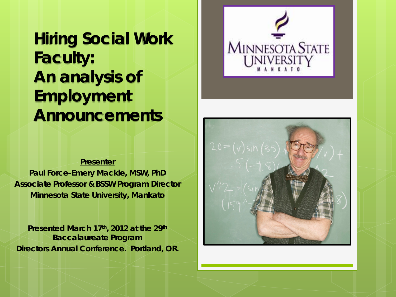**Hiring Social Work Faculty: An analysis of Employment Announcements**

#### **Presenter**

**Paul Force-Emery Mackie, MSW, PhD Associate Professor & BSSW Program Director Minnesota State University, Mankato**

**Presented March 17th, 2012 at the 29th Baccalaureate Program Directors Annual Conference. Portland, OR.** 



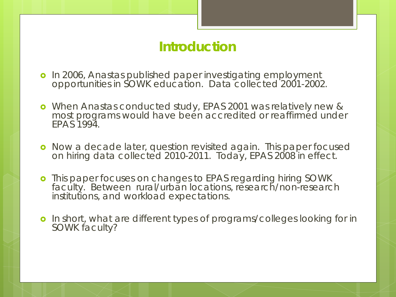# **Introduction**

- o In 2006, Anastas published paper investigating employment opportunities in SOWK education. Data collected 2001-2002.
- When Anastas conducted study, EPAS 2001 was relatively new & most programs would have been accredited or reaffirmed under EPAS 1994.
- **o** Now a decade later, question revisited again. This paper focused on hiring data collected 2010-2011. Today, EPAS 2008 in effect.
- **o** This paper focuses on changes to EPAS regarding hiring SOWK faculty. Between rural/urban locations, research/non-research institutions, and workload expectations.
- **o** In short, what are different types of programs/colleges looking for in SOWK faculty?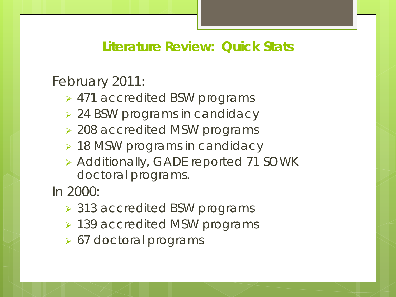# **Literature Review: Quick Stats**

February 2011:

- 471 accredited BSW programs
- ▶ 24 BSW programs in candidacy
- ▶ 208 accredited MSW programs
- ▶ 18 MSW programs in candidacy
- Additionally, GADE reported 71 SOWK doctoral programs.

In 2000:

- 313 accredited BSW programs
- ▶ 139 accredited MSW programs
- ▶ 67 doctoral programs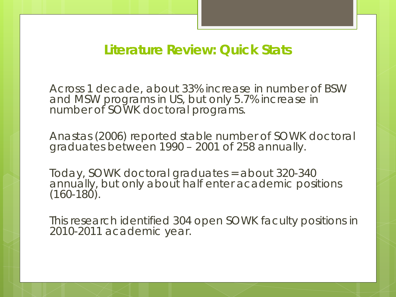### **Literature Review: Quick Stats**

Across 1 decade, about 33% increase in number of BSW and MSW programs in US, but only 5.7% increase in number of SOWK doctoral programs.

Anastas (2006) reported stable number of SOWK doctoral graduates between 1990 – 2001 of 258 annually.

Today, SOWK doctoral graduates = about 320-340 annually, but only about half enter academic positions  $(160 - 180)$ .

This research identified 304 open SOWK faculty positions in 2010-2011 academic year.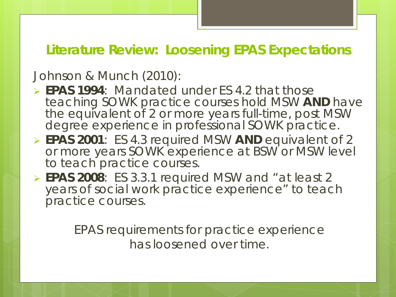## **Literature Review: Loosening EPAS Expectations**

#### Johnson & Munch (2010):

- **EPAS 1994**: Mandated under ES 4.2 that those teaching SOWK practice courses hold MSW **AND** have the equivalent of 2 or more years full-time, post MSW degree experience in professional SOWK practice.
- **EPAS 2001**: ES 4.3 required MSW **AND** equivalent of 2 or more years SOWK experience at *BSW* or *MSW* level to teach practice courses.
- **EPAS 2008**: ES 3.3.1 required MSW and "at least 2 years of social work practice experience" to teach practice courses.

EPAS requirements for practice experience has loosened over time.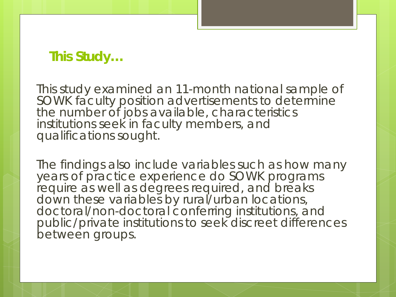# **This Study…**

This study examined an 11-month national sample of SOWK faculty position advertisements to determine the number of jobs available, characteristics institutions seek in faculty members, and qualifications sought.

The findings also include variables such as how many years of practice experience do SOWK programs require as well as degrees required, and breaks down these variables by rural/urban locations, doctoral/non-doctoral conferring institutions, and public/private institutions to seek discreet differences between groups.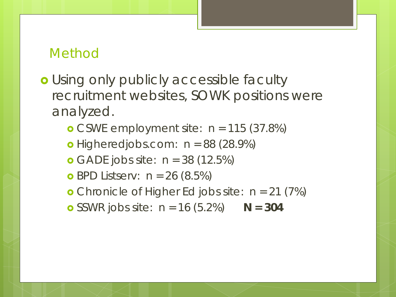### Method

- **o** Using only publicly accessible faculty recruitment websites, SOWK positions were analyzed.
	- **o** CSWE employment site:  $n = 115$  (37.8%)
	- Higheredjobs.com: *n* = 88 (28.9%)
	- GADE jobs site: *n* = 38 (12.5%)
	- BPD Listserv: *n* = 26 (8.5%)
	- Chronicle of Higher Ed jobs site: *n* = 21 (7%)
	- **o** SSWR jobs site:  $n = 16 (5.2%)$  **N = 304**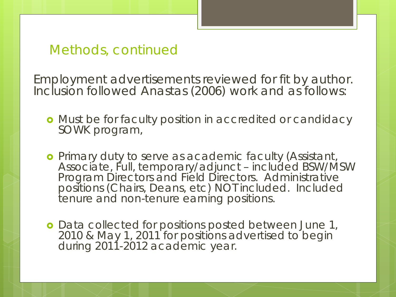### Methods, continued

Employment advertisements reviewed for fit by author. Inclusion followed Anastas (2006) work and as follows:

- **•** Must be for faculty position in accredited or candidacy SOWK program,
- Primary duty to serve as academic faculty (Assistant, Associate, Full, temporary/adjunct included BSW/MSW Program Directors and Field Directors. Administrative positions (Chairs, Deans, etc) NOT included. Included tenure and non-tenure earning positions.
- **o** Data collected for positions posted between June 1, 2010 & May 1, 2011 for positions advertised to begin during 2011-2012 academic year.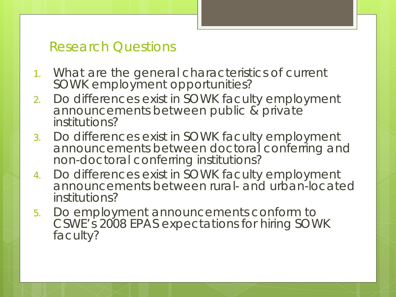# Research Questions

- 1. What are the general characteristics of current SOWK employment opportunities?
- 2. Do differences exist in SOWK faculty employment announcements between public & private institutions?
- 3. Do differences exist in SOWK faculty employment announcements between doctoral conferring and non-doctoral conferring institutions?
- 4. Do differences exist in SOWK faculty employment announcements between rural- and urban-located institutions?
- 5. Do employment announcements conform to CSWE's 2008 EPAS expectations for hiring SOWK faculty?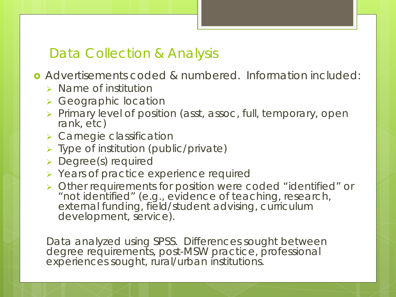# Data Collection & Analysis

Advertisements coded & numbered. Information included:

- $\triangleright$  Name of institution
- **▶ Geographic location**
- $\triangleright$  Primary level of position (asst, assoc, full, temporary, open rank, etc)
- **> Carnegie classification**
- > Type of institution (public/private)
- **>** Degree(s) required
- ▶ Years of practice experience required
- Other requirements for position were coded "identified" or "not identified" (e.g., evidence of teaching, research, external funding, field/student advising, curriculum development, service).

Data analyzed using SPSS. Differences sought between degree requirements, post-MSW practice, professional experiences sought, rural/urban institutions.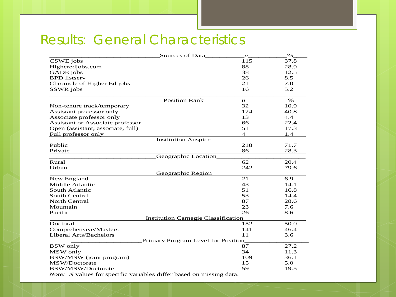# Results: General Characteristics

| <b>Sources of Data</b>                     | $\boldsymbol{n}$ | $\%$ |  |  |  |  |  |
|--------------------------------------------|------------------|------|--|--|--|--|--|
| CSWE jobs                                  | 115              | 37.8 |  |  |  |  |  |
| Higheredjobs.com                           | 88               | 28.9 |  |  |  |  |  |
| <b>GADE</b> jobs                           | 38               | 12.5 |  |  |  |  |  |
| <b>BPD</b> listserv                        | 26               | 8.5  |  |  |  |  |  |
| Chronicle of Higher Ed jobs                | 21               | 7.0  |  |  |  |  |  |
| SSWR jobs                                  | 16               | 5.2  |  |  |  |  |  |
| <b>Position Rank</b>                       | $\boldsymbol{n}$ | $\%$ |  |  |  |  |  |
| Non-tenure track/temporary                 | 32               | 10.9 |  |  |  |  |  |
| Assistant professor only                   | 124              | 40.8 |  |  |  |  |  |
| Associate professor only                   | 13               | 4.4  |  |  |  |  |  |
| Assistant or Associate professor           | 66               | 22.4 |  |  |  |  |  |
| Open (assistant, associate, full)          | 51               | 17.3 |  |  |  |  |  |
| Full professor only                        | $\overline{4}$   | 1.4  |  |  |  |  |  |
| <b>Institution Auspice</b>                 |                  |      |  |  |  |  |  |
| Public                                     | 218              | 71.7 |  |  |  |  |  |
| Private                                    | 86               | 28.3 |  |  |  |  |  |
| Geographic Location                        |                  |      |  |  |  |  |  |
| Rural                                      | 62               | 20.4 |  |  |  |  |  |
| Urban                                      | 242              | 79.6 |  |  |  |  |  |
| Geographic Region                          |                  |      |  |  |  |  |  |
| New England                                | 21               | 6.9  |  |  |  |  |  |
| Middle Atlantic                            | 43               | 14.1 |  |  |  |  |  |
| South Atlantic                             | 51               | 16.8 |  |  |  |  |  |
| <b>South Central</b>                       | 53               | 14.4 |  |  |  |  |  |
| <b>North Central</b>                       | 87               | 28.6 |  |  |  |  |  |
| Mountain                                   | 23               | 7.6  |  |  |  |  |  |
| Pacific                                    | 26               | 8.6  |  |  |  |  |  |
| <b>Institution Carnegie Classification</b> |                  |      |  |  |  |  |  |
| Doctoral                                   | 152              | 50.0 |  |  |  |  |  |
| Comprehensive/Masters                      | 141              | 46.4 |  |  |  |  |  |
| Liberal Arts/Bachelors                     | 11               | 3.6  |  |  |  |  |  |
| Primary Program Level for Position         |                  |      |  |  |  |  |  |
| <b>BSW</b> only                            | 87               | 27.2 |  |  |  |  |  |
| MSW only                                   | 34               | 11.3 |  |  |  |  |  |
| BSW/MSW (joint program)                    | 109              | 36.1 |  |  |  |  |  |
| MSW/Doctorate                              | 15               | 5.0  |  |  |  |  |  |
| <b>BSW/MSW/Doctorate</b>                   | 59               | 19.5 |  |  |  |  |  |

*Note: N* values for specific variables differ based on missing data.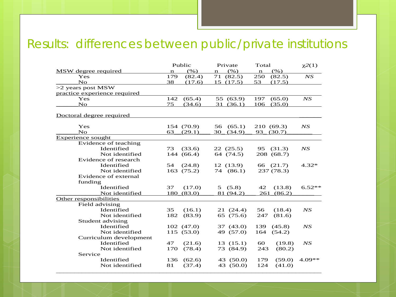## Results: differences between public/private institutions

| (% )<br>(% )<br>(% )<br>MSW degree required<br>$\mathbf n$<br>$\mathbf n$<br>n<br>179<br>NS<br>Yes<br>71 (82.5)<br>250<br>(82.4)<br>(82.5)<br>$\overline{N}$<br>38<br>53<br>(17.6)<br>15(17.5)<br>(17.5)<br>>2 years post MSW<br>practice experience required<br>Yes<br>142<br>(65.4)<br>55 (63.9)<br>197<br>(65.0)<br>NS<br>$\overline{N}$<br>75<br>(34.6)<br>31 (36.1)<br>106<br>(35.0)<br>Doctoral degree required<br>Yes<br>154 (70.9)<br>56<br>(65.1)<br>210 (69.3)<br>NS<br>No<br>30(34.9)<br>93(30.7)<br>63<br>(29.1)<br><b>Experience sought</b><br>Evidence of teaching<br>Identified<br>73<br>(33.6)<br>22(25.5)<br>(31.3)<br>NS<br>95<br>Not identified<br>144 (66.4)<br>64 (74.5)<br>208 (68.7)<br>Evidence of research<br>Identified<br>12 (13.9)<br>66 (21.7)<br>54<br>(24.8)<br>$4.32*$<br>237 (78.3)<br>Not identified<br>163 (75.2)<br>74 (86.1)<br>Evidence of external<br>funding<br>Identified<br>37<br>(17.0)<br>5(5.8)<br>42<br>(13.8)<br>$6.52**$<br>180 (83.0)<br>81 (94.2)<br>261 (86.2)<br>Not identified<br>Other responsibilities<br>Field advising<br>Identified<br>35<br>(16.1)<br>21 (24.4)<br>NS<br>56<br>(18.4)<br>Not identified<br>(83.9)<br>65 (75.6)<br>247<br>(81.6)<br>182<br>Student advising<br>Identified<br>102(47.0)<br>37 (43.0)<br>139<br>(45.8)<br>NS<br>Not identified<br>115 (53.0)<br>49 (57.0)<br>164<br>(54.2)<br>Curriculum development<br>Identified<br>47<br>(21.6)<br>13(15.1)<br>60<br>(19.8)<br>NS<br>73 (84.9)<br>243<br>Not identified<br>(78.4)<br>(80.2)<br>170<br>Service<br>Identified<br>$4.09**$<br>136<br>(62.6)<br>43 (50.0)<br>179<br>(59.0)<br>(37.4)<br>43 (50.0)<br>124<br>Not identified<br>81<br>(41.0) |  | Public | Private | Total | $\chi^2(1)$ |
|-----------------------------------------------------------------------------------------------------------------------------------------------------------------------------------------------------------------------------------------------------------------------------------------------------------------------------------------------------------------------------------------------------------------------------------------------------------------------------------------------------------------------------------------------------------------------------------------------------------------------------------------------------------------------------------------------------------------------------------------------------------------------------------------------------------------------------------------------------------------------------------------------------------------------------------------------------------------------------------------------------------------------------------------------------------------------------------------------------------------------------------------------------------------------------------------------------------------------------------------------------------------------------------------------------------------------------------------------------------------------------------------------------------------------------------------------------------------------------------------------------------------------------------------------------------------------------------------------------------------------------------------------------------------------------------|--|--------|---------|-------|-------------|
|                                                                                                                                                                                                                                                                                                                                                                                                                                                                                                                                                                                                                                                                                                                                                                                                                                                                                                                                                                                                                                                                                                                                                                                                                                                                                                                                                                                                                                                                                                                                                                                                                                                                                   |  |        |         |       |             |
|                                                                                                                                                                                                                                                                                                                                                                                                                                                                                                                                                                                                                                                                                                                                                                                                                                                                                                                                                                                                                                                                                                                                                                                                                                                                                                                                                                                                                                                                                                                                                                                                                                                                                   |  |        |         |       |             |
|                                                                                                                                                                                                                                                                                                                                                                                                                                                                                                                                                                                                                                                                                                                                                                                                                                                                                                                                                                                                                                                                                                                                                                                                                                                                                                                                                                                                                                                                                                                                                                                                                                                                                   |  |        |         |       |             |
|                                                                                                                                                                                                                                                                                                                                                                                                                                                                                                                                                                                                                                                                                                                                                                                                                                                                                                                                                                                                                                                                                                                                                                                                                                                                                                                                                                                                                                                                                                                                                                                                                                                                                   |  |        |         |       |             |
|                                                                                                                                                                                                                                                                                                                                                                                                                                                                                                                                                                                                                                                                                                                                                                                                                                                                                                                                                                                                                                                                                                                                                                                                                                                                                                                                                                                                                                                                                                                                                                                                                                                                                   |  |        |         |       |             |
|                                                                                                                                                                                                                                                                                                                                                                                                                                                                                                                                                                                                                                                                                                                                                                                                                                                                                                                                                                                                                                                                                                                                                                                                                                                                                                                                                                                                                                                                                                                                                                                                                                                                                   |  |        |         |       |             |
|                                                                                                                                                                                                                                                                                                                                                                                                                                                                                                                                                                                                                                                                                                                                                                                                                                                                                                                                                                                                                                                                                                                                                                                                                                                                                                                                                                                                                                                                                                                                                                                                                                                                                   |  |        |         |       |             |
|                                                                                                                                                                                                                                                                                                                                                                                                                                                                                                                                                                                                                                                                                                                                                                                                                                                                                                                                                                                                                                                                                                                                                                                                                                                                                                                                                                                                                                                                                                                                                                                                                                                                                   |  |        |         |       |             |
|                                                                                                                                                                                                                                                                                                                                                                                                                                                                                                                                                                                                                                                                                                                                                                                                                                                                                                                                                                                                                                                                                                                                                                                                                                                                                                                                                                                                                                                                                                                                                                                                                                                                                   |  |        |         |       |             |
|                                                                                                                                                                                                                                                                                                                                                                                                                                                                                                                                                                                                                                                                                                                                                                                                                                                                                                                                                                                                                                                                                                                                                                                                                                                                                                                                                                                                                                                                                                                                                                                                                                                                                   |  |        |         |       |             |
|                                                                                                                                                                                                                                                                                                                                                                                                                                                                                                                                                                                                                                                                                                                                                                                                                                                                                                                                                                                                                                                                                                                                                                                                                                                                                                                                                                                                                                                                                                                                                                                                                                                                                   |  |        |         |       |             |
|                                                                                                                                                                                                                                                                                                                                                                                                                                                                                                                                                                                                                                                                                                                                                                                                                                                                                                                                                                                                                                                                                                                                                                                                                                                                                                                                                                                                                                                                                                                                                                                                                                                                                   |  |        |         |       |             |
|                                                                                                                                                                                                                                                                                                                                                                                                                                                                                                                                                                                                                                                                                                                                                                                                                                                                                                                                                                                                                                                                                                                                                                                                                                                                                                                                                                                                                                                                                                                                                                                                                                                                                   |  |        |         |       |             |
|                                                                                                                                                                                                                                                                                                                                                                                                                                                                                                                                                                                                                                                                                                                                                                                                                                                                                                                                                                                                                                                                                                                                                                                                                                                                                                                                                                                                                                                                                                                                                                                                                                                                                   |  |        |         |       |             |
|                                                                                                                                                                                                                                                                                                                                                                                                                                                                                                                                                                                                                                                                                                                                                                                                                                                                                                                                                                                                                                                                                                                                                                                                                                                                                                                                                                                                                                                                                                                                                                                                                                                                                   |  |        |         |       |             |
|                                                                                                                                                                                                                                                                                                                                                                                                                                                                                                                                                                                                                                                                                                                                                                                                                                                                                                                                                                                                                                                                                                                                                                                                                                                                                                                                                                                                                                                                                                                                                                                                                                                                                   |  |        |         |       |             |
|                                                                                                                                                                                                                                                                                                                                                                                                                                                                                                                                                                                                                                                                                                                                                                                                                                                                                                                                                                                                                                                                                                                                                                                                                                                                                                                                                                                                                                                                                                                                                                                                                                                                                   |  |        |         |       |             |
|                                                                                                                                                                                                                                                                                                                                                                                                                                                                                                                                                                                                                                                                                                                                                                                                                                                                                                                                                                                                                                                                                                                                                                                                                                                                                                                                                                                                                                                                                                                                                                                                                                                                                   |  |        |         |       |             |
|                                                                                                                                                                                                                                                                                                                                                                                                                                                                                                                                                                                                                                                                                                                                                                                                                                                                                                                                                                                                                                                                                                                                                                                                                                                                                                                                                                                                                                                                                                                                                                                                                                                                                   |  |        |         |       |             |
|                                                                                                                                                                                                                                                                                                                                                                                                                                                                                                                                                                                                                                                                                                                                                                                                                                                                                                                                                                                                                                                                                                                                                                                                                                                                                                                                                                                                                                                                                                                                                                                                                                                                                   |  |        |         |       |             |
|                                                                                                                                                                                                                                                                                                                                                                                                                                                                                                                                                                                                                                                                                                                                                                                                                                                                                                                                                                                                                                                                                                                                                                                                                                                                                                                                                                                                                                                                                                                                                                                                                                                                                   |  |        |         |       |             |
|                                                                                                                                                                                                                                                                                                                                                                                                                                                                                                                                                                                                                                                                                                                                                                                                                                                                                                                                                                                                                                                                                                                                                                                                                                                                                                                                                                                                                                                                                                                                                                                                                                                                                   |  |        |         |       |             |
|                                                                                                                                                                                                                                                                                                                                                                                                                                                                                                                                                                                                                                                                                                                                                                                                                                                                                                                                                                                                                                                                                                                                                                                                                                                                                                                                                                                                                                                                                                                                                                                                                                                                                   |  |        |         |       |             |
|                                                                                                                                                                                                                                                                                                                                                                                                                                                                                                                                                                                                                                                                                                                                                                                                                                                                                                                                                                                                                                                                                                                                                                                                                                                                                                                                                                                                                                                                                                                                                                                                                                                                                   |  |        |         |       |             |
|                                                                                                                                                                                                                                                                                                                                                                                                                                                                                                                                                                                                                                                                                                                                                                                                                                                                                                                                                                                                                                                                                                                                                                                                                                                                                                                                                                                                                                                                                                                                                                                                                                                                                   |  |        |         |       |             |
|                                                                                                                                                                                                                                                                                                                                                                                                                                                                                                                                                                                                                                                                                                                                                                                                                                                                                                                                                                                                                                                                                                                                                                                                                                                                                                                                                                                                                                                                                                                                                                                                                                                                                   |  |        |         |       |             |
|                                                                                                                                                                                                                                                                                                                                                                                                                                                                                                                                                                                                                                                                                                                                                                                                                                                                                                                                                                                                                                                                                                                                                                                                                                                                                                                                                                                                                                                                                                                                                                                                                                                                                   |  |        |         |       |             |
|                                                                                                                                                                                                                                                                                                                                                                                                                                                                                                                                                                                                                                                                                                                                                                                                                                                                                                                                                                                                                                                                                                                                                                                                                                                                                                                                                                                                                                                                                                                                                                                                                                                                                   |  |        |         |       |             |
|                                                                                                                                                                                                                                                                                                                                                                                                                                                                                                                                                                                                                                                                                                                                                                                                                                                                                                                                                                                                                                                                                                                                                                                                                                                                                                                                                                                                                                                                                                                                                                                                                                                                                   |  |        |         |       |             |
|                                                                                                                                                                                                                                                                                                                                                                                                                                                                                                                                                                                                                                                                                                                                                                                                                                                                                                                                                                                                                                                                                                                                                                                                                                                                                                                                                                                                                                                                                                                                                                                                                                                                                   |  |        |         |       |             |
|                                                                                                                                                                                                                                                                                                                                                                                                                                                                                                                                                                                                                                                                                                                                                                                                                                                                                                                                                                                                                                                                                                                                                                                                                                                                                                                                                                                                                                                                                                                                                                                                                                                                                   |  |        |         |       |             |
|                                                                                                                                                                                                                                                                                                                                                                                                                                                                                                                                                                                                                                                                                                                                                                                                                                                                                                                                                                                                                                                                                                                                                                                                                                                                                                                                                                                                                                                                                                                                                                                                                                                                                   |  |        |         |       |             |
|                                                                                                                                                                                                                                                                                                                                                                                                                                                                                                                                                                                                                                                                                                                                                                                                                                                                                                                                                                                                                                                                                                                                                                                                                                                                                                                                                                                                                                                                                                                                                                                                                                                                                   |  |        |         |       |             |
|                                                                                                                                                                                                                                                                                                                                                                                                                                                                                                                                                                                                                                                                                                                                                                                                                                                                                                                                                                                                                                                                                                                                                                                                                                                                                                                                                                                                                                                                                                                                                                                                                                                                                   |  |        |         |       |             |
|                                                                                                                                                                                                                                                                                                                                                                                                                                                                                                                                                                                                                                                                                                                                                                                                                                                                                                                                                                                                                                                                                                                                                                                                                                                                                                                                                                                                                                                                                                                                                                                                                                                                                   |  |        |         |       |             |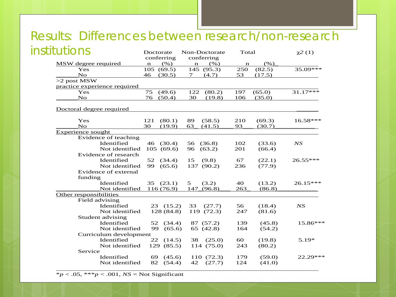### Results: Differences between research/non-research institutions

| Doctorate                    | Non-Doctorate<br>Total                                                                                                                                                                                                                                                         |                                                                                                                                                                | $\chi^2(1)$                                                 |
|------------------------------|--------------------------------------------------------------------------------------------------------------------------------------------------------------------------------------------------------------------------------------------------------------------------------|----------------------------------------------------------------------------------------------------------------------------------------------------------------|-------------------------------------------------------------|
|                              |                                                                                                                                                                                                                                                                                |                                                                                                                                                                |                                                             |
|                              |                                                                                                                                                                                                                                                                                |                                                                                                                                                                | $35.09***$                                                  |
|                              |                                                                                                                                                                                                                                                                                |                                                                                                                                                                |                                                             |
|                              |                                                                                                                                                                                                                                                                                |                                                                                                                                                                |                                                             |
|                              |                                                                                                                                                                                                                                                                                |                                                                                                                                                                |                                                             |
|                              |                                                                                                                                                                                                                                                                                |                                                                                                                                                                | 31.17***                                                    |
| 76                           | 30<br>(19.8)                                                                                                                                                                                                                                                                   | 106<br>(35.0)                                                                                                                                                  |                                                             |
|                              |                                                                                                                                                                                                                                                                                |                                                                                                                                                                |                                                             |
|                              |                                                                                                                                                                                                                                                                                |                                                                                                                                                                |                                                             |
| 121<br>(80.1)                | 89<br>(58.5)                                                                                                                                                                                                                                                                   | (69.3)<br>210                                                                                                                                                  | $16.58***$                                                  |
| 30<br>(19.9)                 | 63<br>(41.5)                                                                                                                                                                                                                                                                   | 93<br>(30.7)                                                                                                                                                   |                                                             |
|                              |                                                                                                                                                                                                                                                                                |                                                                                                                                                                |                                                             |
|                              |                                                                                                                                                                                                                                                                                |                                                                                                                                                                |                                                             |
| 46 (30.4)                    | 56<br>(36.8)                                                                                                                                                                                                                                                                   | 102<br>(33.6)                                                                                                                                                  | NS                                                          |
| 105(69.6)                    | 96<br>(63.2)                                                                                                                                                                                                                                                                   | 201<br>(66.4)                                                                                                                                                  |                                                             |
|                              |                                                                                                                                                                                                                                                                                |                                                                                                                                                                |                                                             |
| 52<br>(34.4)                 | 15<br>(9.8)                                                                                                                                                                                                                                                                    | 67<br>(22.1)                                                                                                                                                   | 26.55***                                                    |
| 99<br>(65.6)                 | 137<br>(90.2)                                                                                                                                                                                                                                                                  | 236<br>(77.9)                                                                                                                                                  |                                                             |
|                              |                                                                                                                                                                                                                                                                                |                                                                                                                                                                |                                                             |
|                              |                                                                                                                                                                                                                                                                                |                                                                                                                                                                |                                                             |
| 35(23.1)                     | 5<br>(3.2)                                                                                                                                                                                                                                                                     | 40<br>(13.2)                                                                                                                                                   | $26.15***$                                                  |
| 116(76.9)                    | 147 (96.8)                                                                                                                                                                                                                                                                     | 263<br>(86.8)                                                                                                                                                  |                                                             |
|                              |                                                                                                                                                                                                                                                                                |                                                                                                                                                                |                                                             |
|                              |                                                                                                                                                                                                                                                                                |                                                                                                                                                                |                                                             |
|                              | 33<br>(27.7)                                                                                                                                                                                                                                                                   | 56<br>(18.4)                                                                                                                                                   | NS                                                          |
|                              | 119 (72.3)                                                                                                                                                                                                                                                                     | 247<br>(81.6)                                                                                                                                                  |                                                             |
|                              |                                                                                                                                                                                                                                                                                |                                                                                                                                                                |                                                             |
| 52                           | 87 (57.2)                                                                                                                                                                                                                                                                      | 139<br>(45.8)                                                                                                                                                  | 15.86***                                                    |
| 99                           | 65 (42.8)                                                                                                                                                                                                                                                                      | 164<br>(54.2)                                                                                                                                                  |                                                             |
|                              |                                                                                                                                                                                                                                                                                |                                                                                                                                                                |                                                             |
| 22                           | 38<br>(25.0)                                                                                                                                                                                                                                                                   | 60<br>(19.8)                                                                                                                                                   | $5.19*$                                                     |
|                              | 114 (75.0)                                                                                                                                                                                                                                                                     | 243<br>(80.2)                                                                                                                                                  |                                                             |
|                              |                                                                                                                                                                                                                                                                                |                                                                                                                                                                |                                                             |
| 69                           | 110 (72.3)                                                                                                                                                                                                                                                                     | 179<br>(59.0)                                                                                                                                                  | 22.29 ***                                                   |
|                              | (27.7)<br>(54.4)<br>42                                                                                                                                                                                                                                                         | 124<br>(41.0)                                                                                                                                                  |                                                             |
| practice experience required | conferring<br>(% )<br>$\mathbf n$<br>105(69.5)<br>(30.5)<br>46<br>75<br>(49.6)<br>(50.4)<br>Evidence of teaching<br>Not identified<br>Evidence of research<br>Not identified<br>Not identified<br>Not identified<br>Not identified<br>Curriculum development<br>Not identified | conferring<br>(% )<br>$\mathbf n$<br>145 (95.3)<br>(4.7)<br>7<br>122<br>(80.2)<br>23(15.2)<br>128 (84.8)<br>(34.4)<br>(65.6)<br>(14.5)<br>129 (85.5)<br>(45.6) | (% )<br>n<br>250<br>(82.5)<br>53<br>(17.5)<br>197<br>(65.0) |

 $*_{p}$  < .05, \*\*\**p* < .001, *NS* = Not Significant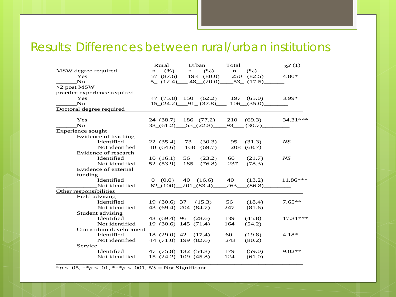#### Results: Differences between rural/urban institutions

|                              | Rural                   | Urban                | Total              | $\chi^2(1)$ |
|------------------------------|-------------------------|----------------------|--------------------|-------------|
| MSW degree required          | (% )<br>$\mathbf n$     | (% )<br>$\mathbf n$  | (%)<br>$\mathbf n$ |             |
| Yes                          | 57 (87.6)               | 193<br>(80.0)        | 250<br>(82.5)      | $4.80*$     |
| $\overline{N}$               | 5(12.4)                 | 48<br>(20.0)         | 53<br>(17.5)       |             |
| $>2$ post MSW                |                         |                      |                    |             |
| practice experience required |                         |                      |                    |             |
| Yes                          | 47 (75.8)               | 150<br>(62.2)        | 197<br>(65.0)      | $3.99*$     |
| $\overline{N}$               | 15(24.2)                | 91<br>(37.8)         | 106<br>(35.0)      |             |
| Doctoral degree required     |                         |                      |                    |             |
| Yes                          | 24 (38.7)               | 186<br>(77.2)        | 210<br>(69.3)      | 34.31 ***   |
| $\overline{N}$               | 38(61.2)                | 55(22.8)             | 93<br>(30.7)       |             |
| Experience sought            |                         |                      |                    |             |
| Evidence of teaching         |                         |                      |                    |             |
| Identified                   | 22(35.4)                | (30.3)<br>73         | (31.3)<br>95       | NS          |
| Not identified               | 40 (64.6)               | 168<br>(69.7)        | (68.7)<br>208      |             |
| Evidence of research         |                         |                      |                    |             |
| Identified                   | 10(16.1)                | 56<br>(23.2)         | (21.7)<br>66       | NS          |
| Not identified               | 52 (53.9)               | 185<br>(76.8)        | 237<br>(78.3)      |             |
| Evidence of external         |                         |                      |                    |             |
| funding                      |                         |                      |                    |             |
| Identified                   | (0.0)<br>$\overline{O}$ | 40<br>(16.6)         | 40<br>(13.2)       | 11.86***    |
| Not identified               | 62 (100)                | 201<br>(83.4)        | 263<br>(86.8)      |             |
| Other responsibilities       |                         |                      |                    |             |
| Field advising               |                         |                      |                    |             |
| Identified                   | 19 (30.6) 37            | (15.3)               | 56<br>(18.4)       | $7.65**$    |
| Not identified               |                         | 43 (69.4) 204 (84.7) | 247<br>(81.6)      |             |
| Student advising             |                         |                      |                    |             |
| Identified                   | 43 (69.4) 96            | (28.6)               | 139<br>(45.8)      | 17.31***    |
| Not identified               |                         | 19 (30.6) 145 (71.4) | 164<br>(54.2)      |             |
| Curriculum development       |                         |                      |                    |             |
| Identified                   | 18 (29.0) 42            | (17.4)               | 60<br>(19.8)       | $4.18*$     |
| Not identified               |                         | 44 (71.0) 199 (82.6) | 243<br>(80.2)      |             |
| Service                      |                         |                      |                    |             |
| Identified                   |                         | 47 (75.8) 132 (54.8) | 179<br>(59.0)      | $9.02**$    |
| Not identified               |                         | 15 (24.2) 109 (45.8) | 124<br>(61.0)      |             |
|                              |                         |                      |                    |             |

\**p* < .05, \*\**p* < .01, \*\*\**p* < .001, *NS* = Not Significant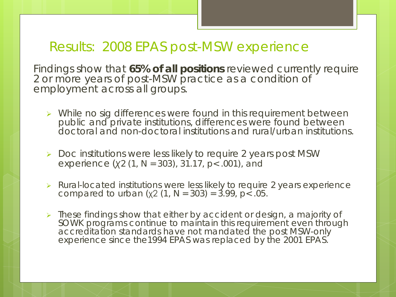# Results: 2008 EPAS post-MSW experience

Findings show that **65% of all positions** reviewed currently require 2 or more years of post-MSW practice as a condition of employment across all groups.

- > While no sig differences were found in this requirement between public and private institutions, differences were found between doctoral and non-doctoral institutions and rural/urban institutions.
- $\triangleright$  Doc institutions were less likely to require 2 years post MSW experience (*χ2* (1, *N* = 303), 31.17, *p*< .001), and
- P Rural-located institutions were less likely to require 2 years experience compared to urban ( $x2$  (1, N = 303) = 3.99, p < .05.
- **These findings show that either by accident or design, a majority of** SOWK programs continue to maintain this requirement even through accreditation standards have not mandated the post MSW-only experience since the1994 EPAS was replaced by the 2001 EPAS.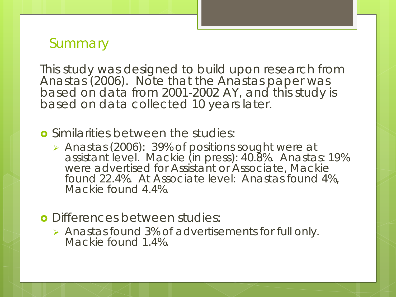# **Summary**

This study was designed to build upon research from Anastas (2006). Note that the Anastas paper was based on data from 2001-2002 AY, and this study is based on data collected 10 years later.

**o** Similarities between the studies:

- Anastas (2006): 39% of positions sought were at assistant level. Mackie (in press): 40.8%. Anastas: 19% were advertised for Assistant or Associate, Mackie found 22.4%. At Associate level: Anastas found 4%, Mackie found 4.4%.
- **o** Differences between studies:
	- Anastas found 3% of advertisements for full only. Mackie found 1.4%.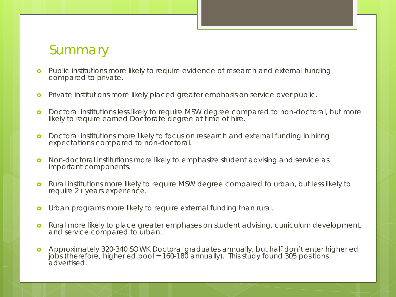# **Summary**

- **o** Public institutions more likely to require evidence of research and external funding compared to private.
- **o** Private institutions more likely placed greater emphasis on service over public.
- **o** Doctoral institutions less likely to require MSW degree compared to non-doctoral, but more likely to require earned Doctorate degree at time of hire.
- **o** Doctoral institutions more likely to focus on research and external funding in hiring expectations compared to non-doctoral.
- **o** Non-doctoral institutions more likely to emphasize student advising and service as important components.
- **o** Rural institutions more likely to require MSW degree compared to urban, but less likely to require 2+ years experience.
- **o** Urban programs more likely to require external funding than rural.
- **o** Rural more likely to place greater emphases on student advising, curriculum development, and service compared to urban.
- Approximately 320-340 SOWK Doctoral graduates annually, but half don't enter higher ed jobs (therefore, higher ed pool = 160-180 annually). This study found 305 positions advertised.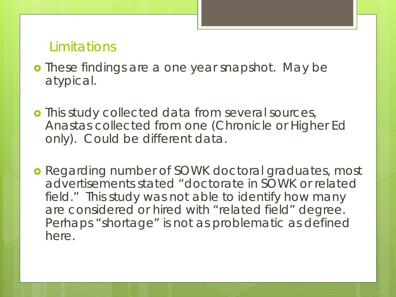## Limitations

- **o** These findings are a one year snapshot. May be atypical.
- **o** This study collected data from several sources, Anastas collected from one (Chronicle or Higher Ed only). Could be different data.
- **o** Regarding number of SOWK doctoral graduates, most advertisements stated "doctorate in SOWK or related field." This study was not able to identify how many are considered or hired with "related field" degree. Perhaps "shortage" is not as problematic as defined here.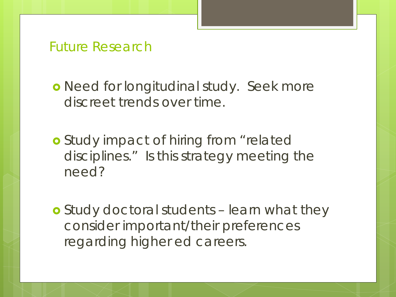## Future Research

o Need for longitudinal study. Seek more discreet trends over time.

**o** Study impact of hiring from "related disciplines." Is this strategy meeting the need?

 Study doctoral students – learn what they consider important/their preferences regarding higher ed careers.